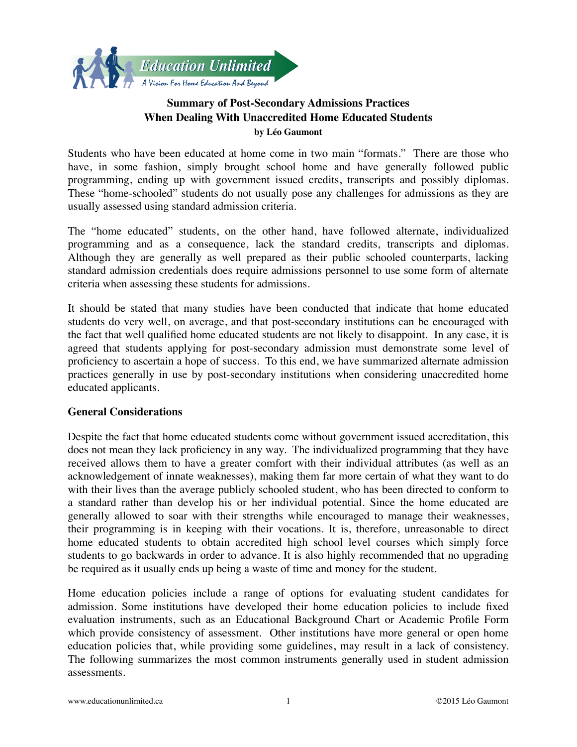

# **Summary of Post-Secondary Admissions Practices When Dealing With Unaccredited Home Educated Students by Léo Gaumont**

Students who have been educated at home come in two main "formats." There are those who have, in some fashion, simply brought school home and have generally followed public programming, ending up with government issued credits, transcripts and possibly diplomas. These "home-schooled" students do not usually pose any challenges for admissions as they are usually assessed using standard admission criteria.

The "home educated" students, on the other hand, have followed alternate, individualized programming and as a consequence, lack the standard credits, transcripts and diplomas. Although they are generally as well prepared as their public schooled counterparts, lacking standard admission credentials does require admissions personnel to use some form of alternate criteria when assessing these students for admissions.

It should be stated that many studies have been conducted that indicate that home educated students do very well, on average, and that post-secondary institutions can be encouraged with the fact that well qualified home educated students are not likely to disappoint. In any case, it is agreed that students applying for post-secondary admission must demonstrate some level of proficiency to ascertain a hope of success. To this end, we have summarized alternate admission practices generally in use by post-secondary institutions when considering unaccredited home educated applicants.

## **General Considerations**

Despite the fact that home educated students come without government issued accreditation, this does not mean they lack proficiency in any way. The individualized programming that they have received allows them to have a greater comfort with their individual attributes (as well as an acknowledgement of innate weaknesses), making them far more certain of what they want to do with their lives than the average publicly schooled student, who has been directed to conform to a standard rather than develop his or her individual potential. Since the home educated are generally allowed to soar with their strengths while encouraged to manage their weaknesses, their programming is in keeping with their vocations. It is, therefore, unreasonable to direct home educated students to obtain accredited high school level courses which simply force students to go backwards in order to advance. It is also highly recommended that no upgrading be required as it usually ends up being a waste of time and money for the student.

Home education policies include a range of options for evaluating student candidates for admission. Some institutions have developed their home education policies to include fixed evaluation instruments, such as an Educational Background Chart or Academic Profile Form which provide consistency of assessment. Other institutions have more general or open home education policies that, while providing some guidelines, may result in a lack of consistency. The following summarizes the most common instruments generally used in student admission assessments.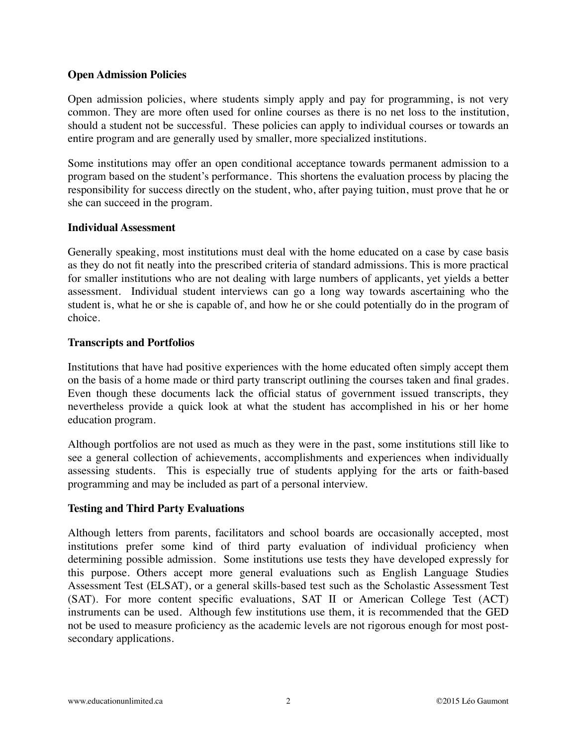## **Open Admission Policies**

Open admission policies, where students simply apply and pay for programming, is not very common. They are more often used for online courses as there is no net loss to the institution, should a student not be successful. These policies can apply to individual courses or towards an entire program and are generally used by smaller, more specialized institutions.

Some institutions may offer an open conditional acceptance towards permanent admission to a program based on the student's performance. This shortens the evaluation process by placing the responsibility for success directly on the student, who, after paying tuition, must prove that he or she can succeed in the program.

#### **Individual Assessment**

Generally speaking, most institutions must deal with the home educated on a case by case basis as they do not fit neatly into the prescribed criteria of standard admissions. This is more practical for smaller institutions who are not dealing with large numbers of applicants, yet yields a better assessment. Individual student interviews can go a long way towards ascertaining who the student is, what he or she is capable of, and how he or she could potentially do in the program of choice.

## **Transcripts and Portfolios**

Institutions that have had positive experiences with the home educated often simply accept them on the basis of a home made or third party transcript outlining the courses taken and final grades. Even though these documents lack the official status of government issued transcripts, they nevertheless provide a quick look at what the student has accomplished in his or her home education program.

Although portfolios are not used as much as they were in the past, some institutions still like to see a general collection of achievements, accomplishments and experiences when individually assessing students. This is especially true of students applying for the arts or faith-based programming and may be included as part of a personal interview.

## **Testing and Third Party Evaluations**

Although letters from parents, facilitators and school boards are occasionally accepted, most institutions prefer some kind of third party evaluation of individual proficiency when determining possible admission. Some institutions use tests they have developed expressly for this purpose. Others accept more general evaluations such as English Language Studies Assessment Test (ELSAT), or a general skills-based test such as the Scholastic Assessment Test (SAT). For more content specific evaluations, SAT II or American College Test (ACT) instruments can be used. Although few institutions use them, it is recommended that the GED not be used to measure proficiency as the academic levels are not rigorous enough for most postsecondary applications.